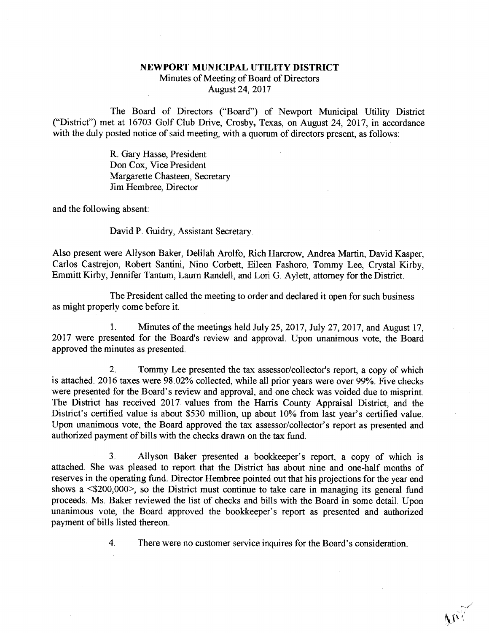## NEWPORT MUNICIPAL UTILITY DISTRICT Minutes of Meeting of Board of Directors August 24, 2017

The Board of Directors ("Board") of Newport Municipal Utility District ("District") met at 16703 Golf Club Drive, Crosby, Texas, on August 24, 2017, in accordance with the duly posted notice of said meeting, with a quorum of directors present, as follows:

> R. Gary Hasse, President Don Cox, Vice President Margarette Chasteen, Secretary Jim Hembree, Director

and the following absent:

David P. Guidry, Assistant Secretary.

Also present were Allyson Baker, Delilah Arolfo, Rich Harcrow, Andrea Martin, David Kasper, Carlos Castrejon, Robert Santini, Nino Corbett, Eileen Fashoro, Tommy Lee, Crystal Kirby, Emmitt Kirby, Jennifer Tantum, Laum Randell, and Lori G. Aylett, attorney for the District.

The President called the meeting to order and declared it open for such business as might properly come before it.

1. Minutes of the meetings held July 25, 2017, July 27, 2017, and August 17, 2017 were presented for the Board's review and approval. Upon unanimous vote, the Board approved the minutes as presented.

2. Tommy Lee presented the tax assessor/collector's report, a copy of which is attached. 2016 taxes were 98.02% collected, while all prior years were over 99%. Five checks were presented for the Board's review and approval, and one check was voided due to misprint. The District has received 2017 values from the Harris County Appraisal District, and the District's certified value is about \$530 million, up about 10% from last year's certified value. Upon unanimous vote, the Board approved the tax assessor/collector's report as presented and authorized payment of bills with the checks drawn on the tax fund.

3. Allyson Baker presented a bookkeeper's report, a copy of which is attached. She was pleased to report that the District has about nine and one-half months of reserves in the operating fund. Director Hembree pointed out that his projections for the year end shows a <\$200,000>, so the District must continue to take care in managing its general fund proceeds. Ms. Baker reviewed the list of checks and bills with the Board in some detail. Upon unanimous vote, the Board approved the bookkeeper's report as presented and authorized payment of bills listed thereon.

4. There were no customer service inquires for the Board's consideration.

 $\overline{w}_\lambda$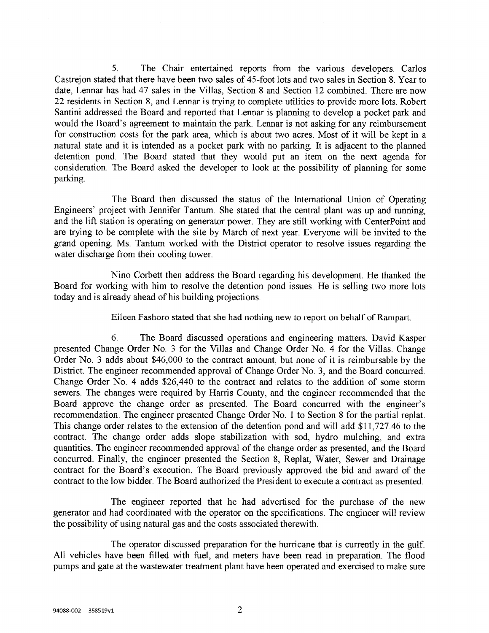5. The Chair entertained reports from the various developers. Carlos Castrejon stated that there have been two sales of 45-foot lots and two sales in Section 8. Year to date, Lennar has had 47 sales in the Villas, Section 8 and Section 12 combined. There are now 22 residents in Section 8, and Lennar is trying to complete utilities to provide more lots. Robert Santini addressed the Board and reported that Lennar is planning to develop a pocket park and would the Board's agreement to maintain the park. Lennar is not asking for any reimbursement for construction costs for the park area, which is about two acres. Most of it will be kept in a natural state and it is intended as a pocket park with no parking. It is adjacent to the planned detention pond. The Board stated that they would put an item on the next agenda for consideration. The Board asked the developer to look at the possibility of planning for some parking.

The Board then discussed the status of the International Union of Operating Engineers' project with Jennifer Tantum. She stated that the central plant was up and mnning, and the lift station is operating on generator power. They are still working with CenterPoint and are trying to be complete with the site by March of next year. Everyone will be invited to the grand opening. Ms. Tantum worked with the District operator to resolve issues regarding the water discharge from their cooling tower.

Nino Corbett then address the Board regarding his development. He thanked the Board for working with him to resolve the detention pond issues. He is selling two more lots today and is already ahead of his building projections.

Eileen Fashoro stated that she had nothing new to report on behalf of Rampart.

6. The Board discussed operations and engineering matters. David Kasper presented Change Order No. 3 for the Villas and Change Order No. 4 for the Villas. Change Order No. 3 adds about \$46,000 to the contract amount, but none of it is reimbursable by the District. The engineer recommended approval of Change Order No. 3, and the Board concurred. Change Order No. 4 adds \$26,440 to the contract and relates to the addition of some storm sewers. The changes were required by Harris County, and the engineer recommended that the Board approve the change order as presented. The Board concurred with the engineer's recommendation. The engineer presented Change Order No. 1 to Section 8 for the partial replat. This change order relates to the extension of the detention pond and will add \$11,727.46 to the contract. The change order adds slope stabilization with sod, hydro mulching, and extra quantities. The engineer recommended approval of the change order as presented, and the Board concurred. Finally, the engineer presented the Section 8, Replat, Water, Sewer and Drainage contract for the Board's execution. The Board previously approved the bid and award of the contract to the low bidder. The Board authorized the President to execute a contract as presented.

The engineer reported that he had advertised for the purchase of the new generator and had coordinated with the operator on the specifications. The engineer will review the possibility of using natural gas and the costs associated therewith.

The operator discussed preparation for the hurricane that is currently in the gulf. All vehicles have been filled with fuel, and meters have been read in preparation. The flood pumps and gate at the wastewater treatment plant have been operated and exercised to make sure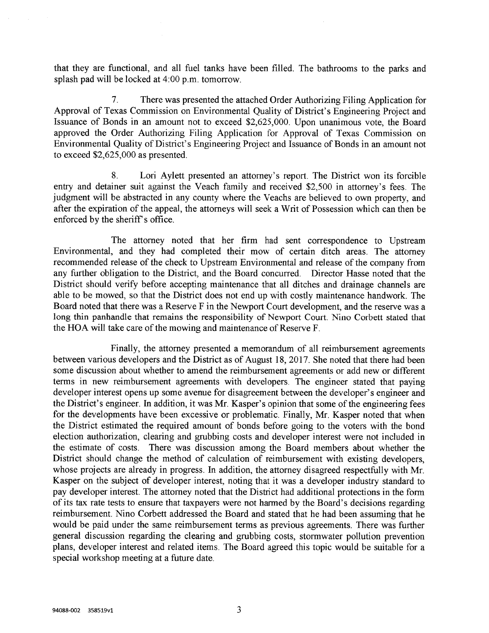that they are functional, and all fuel tanks have been filled. The bathrooms to the parks and splash pad will be locked at 4:00 p.m. tomorrow.

7. There was presented the attached Order Authorizing Filing Application for Approval of Texas Commission on Environmental Quality of District's Engineering Project and Issuance of Bonds in an amount not to exceed \$2,625,000. Upon unanimous vote, the Board approved the Order Authorizing Filing Application for Approval of Texas Commission on Environmental Quality of District's Engineering Project and Issuance of Bonds in an amount not to exceed \$2,625,000 as presented.

8. Lori Aylett presented an attorney's report. The District won its forcible entry and detainer suit against the Veach family and received \$2,500 in attorney's fees. The judgment will be abstracted in any county where the Veachs are believed to own property, and after the expiration of the appeal, the attorneys will seek a Writ of Possession which can then be enforced by the sheriff's office.

The attorney noted that her firm had sent correspondence to Upstream Environmental, and they had completed their mow of certain ditch areas. The attorney recommended release of the check to Upstream Environmental and release of the company from any further obligation to the District, and the Board concurred. Director Hasse noted that the District should verify before accepting maintenance that all ditches and drainage channels are able to be mowed, so that the District does not end up with costly maintenance handwork. The Board noted that there was a Reserve F in the Newport Court development, and the reserve was a long thin panhandle that remains the responsibility of Newport Court. Nino Corbett stated that the HOA will take care of the mowing and maintenance of Reserve F.

Finally, the attorney presented a memorandum of all reimbursement agreements between various developers and the District as of August 18, 2017. She noted that there had been some discussion about whether to amend the reimbursement agreements or add new or different terms in new reimbursement agreements with developers. The engineer stated that paying developer interest opens up some avenue for disagreement between the developer's engineer and the District's engineer. In addition, it was Mr. Kasper's opinion that some of the engineering fees for the developments have been excessive or problematic. Finally, Mr. Kasper noted that when the District estimated the required amount of bonds before going to the voters with the bond election authorization, clearing and gmbbing costs and developer interest were not included in the estimate of costs. There was discussion among the Board members about whether the District should change the method of calculation of reimbursement with existing developers, whose projects are already in progress. In addition, the attorney disagreed respectfully with Mr. Kasper on the subject of developer interest, noting that it was a developer industry standard to pay developer interest. The attorney noted that the District had additional protections in the form of its tax rate tests to ensure that taxpayers were not banned by the Board's decisions regarding reimbursement. Nino Corbett addressed the Board and stated that he had been assuming that he would be paid under the same reimbursement terms as previous agreements. There was further general discussion regarding the clearing and gmbbing costs, stormwater pollution prevention plans, developer interest and related items. The Board agreed this topic would be suitable for a special workshop meeting at a future date.